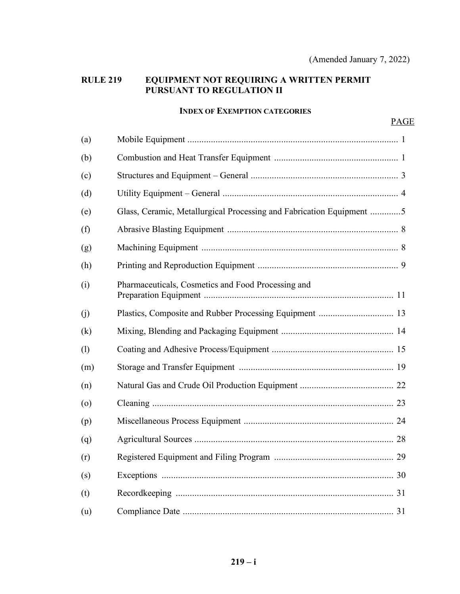## **RULE 219 EQUIPMENT NOT REQUIRING A WRITTEN PERMIT PURSUANT TO REGULATION II**

### **INDEX OF EXEMPTION CATEGORIES**

| (a)     |                                                                      |  |  |
|---------|----------------------------------------------------------------------|--|--|
| (b)     |                                                                      |  |  |
| (c)     |                                                                      |  |  |
| (d)     |                                                                      |  |  |
| (e)     | Glass, Ceramic, Metallurgical Processing and Fabrication Equipment 5 |  |  |
| (f)     |                                                                      |  |  |
| (g)     |                                                                      |  |  |
| (h)     |                                                                      |  |  |
| (i)     | Pharmaceuticals, Cosmetics and Food Processing and                   |  |  |
| (j)     |                                                                      |  |  |
| (k)     |                                                                      |  |  |
| (1)     |                                                                      |  |  |
| (m)     |                                                                      |  |  |
| (n)     |                                                                      |  |  |
| $\circ$ |                                                                      |  |  |
| (p)     |                                                                      |  |  |
| (q)     |                                                                      |  |  |
| (r)     |                                                                      |  |  |
| (s)     |                                                                      |  |  |
| (t)     |                                                                      |  |  |
| (u)     |                                                                      |  |  |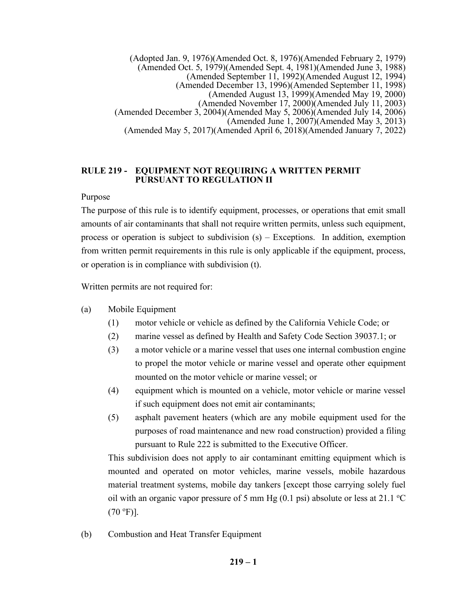(Adopted Jan. 9, 1976)(Amended Oct. 8, 1976)(Amended February 2, 1979) (Amended Oct. 5, 1979)(Amended Sept. 4, 1981)(Amended June 3, 1988) (Amended September 11, 1992)(Amended August 12, 1994) (Amended December 13, 1996)(Amended September 11, 1998) (Amended August 13, 1999)(Amended May 19, 2000) (Amended November 17, 2000)(Amended July 11, 2003) (Amended December 3, 2004)(Amended May 5, 2006)(Amended July 14, 2006) (Amended June 1, 2007)(Amended May 3, 2013) (Amended May 5, 2017)(Amended April 6, 2018)(Amended January 7, 2022)

### **RULE 219 - EQUIPMENT NOT REQUIRING A WRITTEN PERMIT PURSUANT TO REGULATION II**

## Purpose

The purpose of this rule is to identify equipment, processes, or operations that emit small amounts of air contaminants that shall not require written permits, unless such equipment, process or operation is subject to subdivision (s) – Exceptions. In addition, exemption from written permit requirements in this rule is only applicable if the equipment, process, or operation is in compliance with subdivision (t).

Written permits are not required for:

- (a) Mobile Equipment
	- (1) motor vehicle or vehicle as defined by the California Vehicle Code; or
	- (2) marine vessel as defined by Health and Safety Code Section 39037.1; or
	- (3) a motor vehicle or a marine vessel that uses one internal combustion engine to propel the motor vehicle or marine vessel and operate other equipment mounted on the motor vehicle or marine vessel; or
	- (4) equipment which is mounted on a vehicle, motor vehicle or marine vessel if such equipment does not emit air contaminants;
	- (5) asphalt pavement heaters (which are any mobile equipment used for the purposes of road maintenance and new road construction) provided a filing pursuant to Rule 222 is submitted to the Executive Officer.

This subdivision does not apply to air contaminant emitting equipment which is mounted and operated on motor vehicles, marine vessels, mobile hazardous material treatment systems, mobile day tankers [except those carrying solely fuel oil with an organic vapor pressure of 5 mm Hg  $(0.1 \text{ psi})$  absolute or less at 21.1 °C  $(70 °F)$ ].

(b) Combustion and Heat Transfer Equipment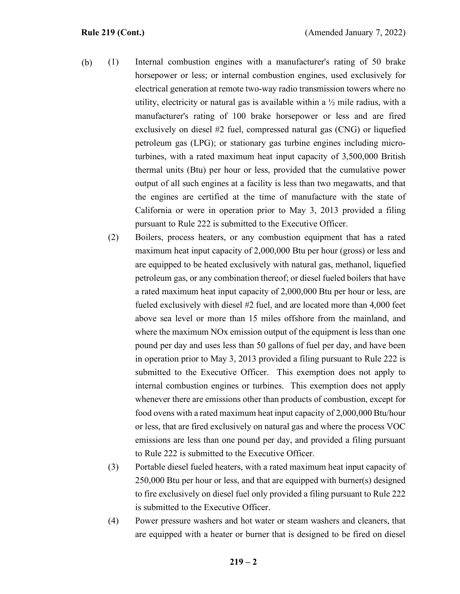- (1) Internal combustion engines with a manufacturer's rating of 50 brake horsepower or less; or internal combustion engines, used exclusively for electrical generation at remote two-way radio transmission towers where no utility, electricity or natural gas is available within a  $\frac{1}{2}$  mile radius, with a manufacturer's rating of 100 brake horsepower or less and are fired exclusively on diesel #2 fuel, compressed natural gas (CNG) or liquefied petroleum gas (LPG); or stationary gas turbine engines including microturbines, with a rated maximum heat input capacity of 3,500,000 British thermal units (Btu) per hour or less, provided that the cumulative power output of all such engines at a facility is less than two megawatts, and that the engines are certified at the time of manufacture with the state of California or were in operation prior to May 3, 2013 provided a filing pursuant to Rule 222 is submitted to the Executive Officer. (b)
	- (2) Boilers, process heaters, or any combustion equipment that has a rated maximum heat input capacity of 2,000,000 Btu per hour (gross) or less and are equipped to be heated exclusively with natural gas, methanol, liquefied petroleum gas, or any combination thereof; or diesel fueled boilers that have a rated maximum heat input capacity of 2,000,000 Btu per hour or less, are fueled exclusively with diesel #2 fuel, and are located more than 4,000 feet above sea level or more than 15 miles offshore from the mainland, and where the maximum NO<sub>x</sub> emission output of the equipment is less than one pound per day and uses less than 50 gallons of fuel per day, and have been in operation prior to May 3, 2013 provided a filing pursuant to Rule 222 is submitted to the Executive Officer. This exemption does not apply to internal combustion engines or turbines. This exemption does not apply whenever there are emissions other than products of combustion, except for food ovens with a rated maximum heat input capacity of 2,000,000 Btu/hour or less, that are fired exclusively on natural gas and where the process VOC emissions are less than one pound per day, and provided a filing pursuant to Rule 222 is submitted to the Executive Officer.
	- (3) Portable diesel fueled heaters, with a rated maximum heat input capacity of 250,000 Btu per hour or less, and that are equipped with burner(s) designed to fire exclusively on diesel fuel only provided a filing pursuant to Rule 222 is submitted to the Executive Officer.
	- (4) Power pressure washers and hot water or steam washers and cleaners, that are equipped with a heater or burner that is designed to be fired on diesel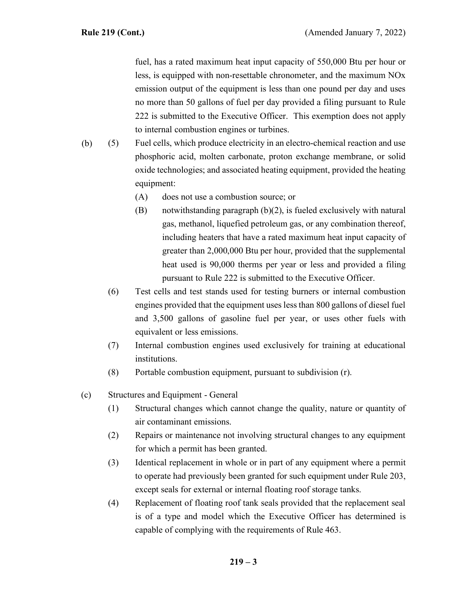fuel, has a rated maximum heat input capacity of 550,000 Btu per hour or less, is equipped with non-resettable chronometer, and the maximum NOx emission output of the equipment is less than one pound per day and uses no more than 50 gallons of fuel per day provided a filing pursuant to Rule 222 is submitted to the Executive Officer. This exemption does not apply to internal combustion engines or turbines.

- (5) Fuel cells, which produce electricity in an electro-chemical reaction and use phosphoric acid, molten carbonate, proton exchange membrane, or solid oxide technologies; and associated heating equipment, provided the heating equipment: (b)
	- (A) does not use a combustion source; or
	- (B) notwithstanding paragraph (b)(2), is fueled exclusively with natural gas, methanol, liquefied petroleum gas, or any combination thereof, including heaters that have a rated maximum heat input capacity of greater than 2,000,000 Btu per hour, provided that the supplemental heat used is 90,000 therms per year or less and provided a filing pursuant to Rule 222 is submitted to the Executive Officer.
	- (6) Test cells and test stands used for testing burners or internal combustion engines provided that the equipment uses less than 800 gallons of diesel fuel and 3,500 gallons of gasoline fuel per year, or uses other fuels with equivalent or less emissions.
	- (7) Internal combustion engines used exclusively for training at educational institutions.
	- (8) Portable combustion equipment, pursuant to subdivision (r).
- (c) Structures and Equipment General
	- (1) Structural changes which cannot change the quality, nature or quantity of air contaminant emissions.
	- (2) Repairs or maintenance not involving structural changes to any equipment for which a permit has been granted.
	- (3) Identical replacement in whole or in part of any equipment where a permit to operate had previously been granted for such equipment under Rule 203, except seals for external or internal floating roof storage tanks.
	- (4) Replacement of floating roof tank seals provided that the replacement seal is of a type and model which the Executive Officer has determined is capable of complying with the requirements of Rule 463.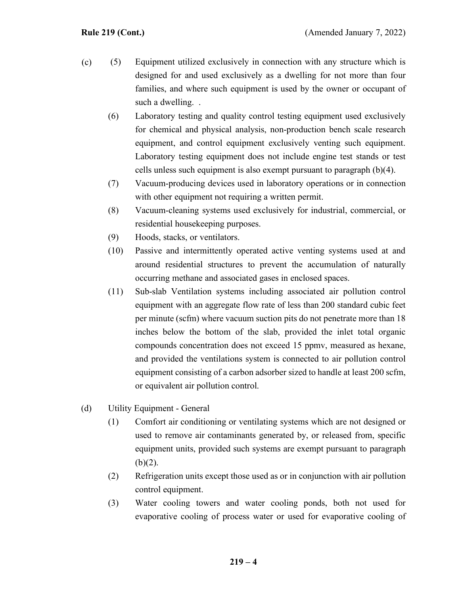- (5) Equipment utilized exclusively in connection with any structure which is designed for and used exclusively as a dwelling for not more than four families, and where such equipment is used by the owner or occupant of such a dwelling. . (c)
	- (6) Laboratory testing and quality control testing equipment used exclusively for chemical and physical analysis, non-production bench scale research equipment, and control equipment exclusively venting such equipment. Laboratory testing equipment does not include engine test stands or test cells unless such equipment is also exempt pursuant to paragraph (b)(4).
	- (7) Vacuum-producing devices used in laboratory operations or in connection with other equipment not requiring a written permit.
	- (8) Vacuum-cleaning systems used exclusively for industrial, commercial, or residential housekeeping purposes.
	- (9) Hoods, stacks, or ventilators.
	- (10) Passive and intermittently operated active venting systems used at and around residential structures to prevent the accumulation of naturally occurring methane and associated gases in enclosed spaces.
	- (11) Sub-slab Ventilation systems including associated air pollution control equipment with an aggregate flow rate of less than 200 standard cubic feet per minute (scfm) where vacuum suction pits do not penetrate more than 18 inches below the bottom of the slab, provided the inlet total organic compounds concentration does not exceed 15 ppmv, measured as hexane, and provided the ventilations system is connected to air pollution control equipment consisting of a carbon adsorber sized to handle at least 200 scfm, or equivalent air pollution control.
- (d) Utility Equipment General
	- (1) Comfort air conditioning or ventilating systems which are not designed or used to remove air contaminants generated by, or released from, specific equipment units, provided such systems are exempt pursuant to paragraph  $(b)(2)$ .
	- (2) Refrigeration units except those used as or in conjunction with air pollution control equipment.
	- (3) Water cooling towers and water cooling ponds, both not used for evaporative cooling of process water or used for evaporative cooling of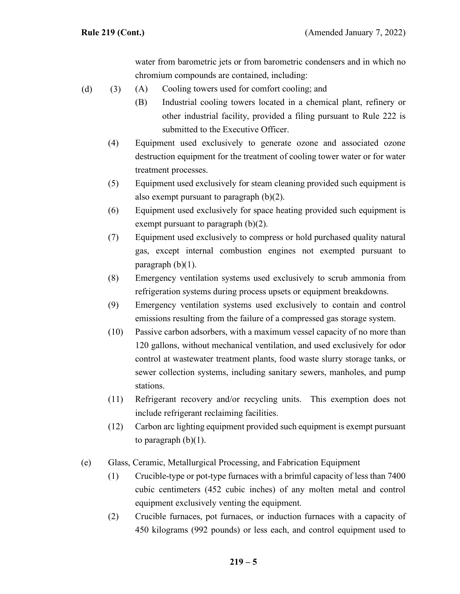water from barometric jets or from barometric condensers and in which no chromium compounds are contained, including:

- (A) Cooling towers used for comfort cooling; and (d)  $(3)$ 
	- (B) Industrial cooling towers located in a chemical plant, refinery or other industrial facility, provided a filing pursuant to Rule 222 is submitted to the Executive Officer.
	- (4) Equipment used exclusively to generate ozone and associated ozone destruction equipment for the treatment of cooling tower water or for water treatment processes.
	- (5) Equipment used exclusively for steam cleaning provided such equipment is also exempt pursuant to paragraph (b)(2).
	- (6) Equipment used exclusively for space heating provided such equipment is exempt pursuant to paragraph (b)(2).
	- (7) Equipment used exclusively to compress or hold purchased quality natural gas, except internal combustion engines not exempted pursuant to paragraph  $(b)(1)$ .
	- (8) Emergency ventilation systems used exclusively to scrub ammonia from refrigeration systems during process upsets or equipment breakdowns.
	- (9) Emergency ventilation systems used exclusively to contain and control emissions resulting from the failure of a compressed gas storage system.
	- (10) Passive carbon adsorbers, with a maximum vessel capacity of no more than 120 gallons, without mechanical ventilation, and used exclusively for odor control at wastewater treatment plants, food waste slurry storage tanks, or sewer collection systems, including sanitary sewers, manholes, and pump stations.
	- (11) Refrigerant recovery and/or recycling units. This exemption does not include refrigerant reclaiming facilities.
	- (12) Carbon arc lighting equipment provided such equipment is exempt pursuant to paragraph  $(b)(1)$ .
- (e) Glass, Ceramic, Metallurgical Processing, and Fabrication Equipment
	- (1) Crucible-type or pot-type furnaces with a brimful capacity of less than 7400 cubic centimeters (452 cubic inches) of any molten metal and control equipment exclusively venting the equipment.
	- (2) Crucible furnaces, pot furnaces, or induction furnaces with a capacity of 450 kilograms (992 pounds) or less each, and control equipment used to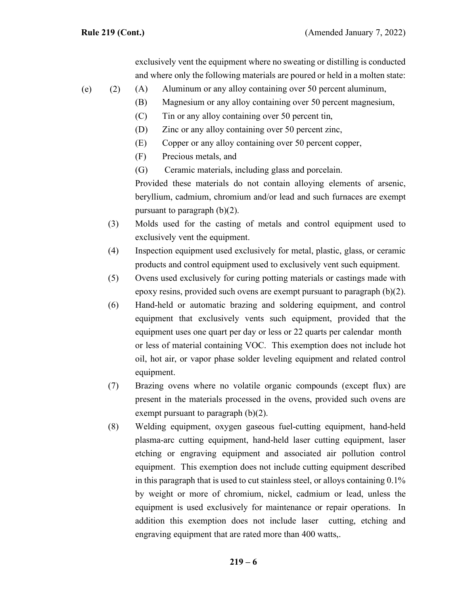exclusively vent the equipment where no sweating or distilling is conducted and where only the following materials are poured or held in a molten state:

- (A) Aluminum or any alloy containing over 50 percent aluminum,  $(e)$  (2)
	- (B) Magnesium or any alloy containing over 50 percent magnesium,
	- (C) Tin or any alloy containing over 50 percent tin,
	- (D) Zinc or any alloy containing over 50 percent zinc,
	- (E) Copper or any alloy containing over 50 percent copper,
	- (F) Precious metals, and
	- (G) Ceramic materials, including glass and porcelain.

Provided these materials do not contain alloying elements of arsenic, beryllium, cadmium, chromium and/or lead and such furnaces are exempt pursuant to paragraph (b)(2).

- (3) Molds used for the casting of metals and control equipment used to exclusively vent the equipment.
- (4) Inspection equipment used exclusively for metal, plastic, glass, or ceramic products and control equipment used to exclusively vent such equipment.
- (5) Ovens used exclusively for curing potting materials or castings made with epoxy resins, provided such ovens are exempt pursuant to paragraph (b)(2).
- (6) Hand-held or automatic brazing and soldering equipment, and control equipment that exclusively vents such equipment, provided that the equipment uses one quart per day or less or 22 quarts per calendar month or less of material containing VOC. This exemption does not include hot oil, hot air, or vapor phase solder leveling equipment and related control equipment.
- (7) Brazing ovens where no volatile organic compounds (except flux) are present in the materials processed in the ovens, provided such ovens are exempt pursuant to paragraph (b)(2).
- (8) Welding equipment, oxygen gaseous fuel-cutting equipment, hand-held plasma-arc cutting equipment, hand-held laser cutting equipment, laser etching or engraving equipment and associated air pollution control equipment. This exemption does not include cutting equipment described in this paragraph that is used to cut stainless steel, or alloys containing 0.1% by weight or more of chromium, nickel, cadmium or lead, unless the equipment is used exclusively for maintenance or repair operations. In addition this exemption does not include laser cutting, etching and engraving equipment that are rated more than 400 watts,.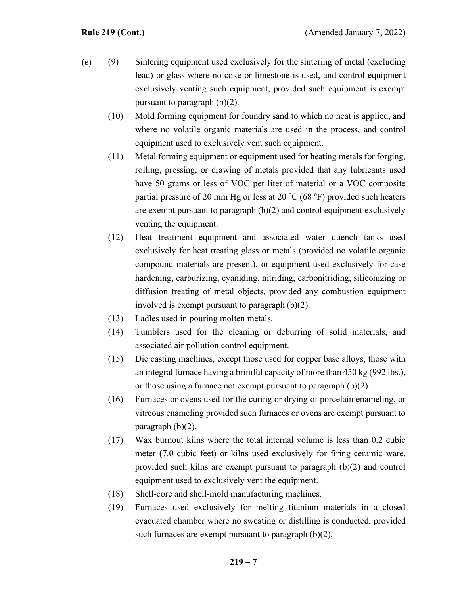- (9) Sintering equipment used exclusively for the sintering of metal (excluding lead) or glass where no coke or limestone is used, and control equipment exclusively venting such equipment, provided such equipment is exempt pursuant to paragraph (b)(2). (e)
	- (10) Mold forming equipment for foundry sand to which no heat is applied, and where no volatile organic materials are used in the process, and control equipment used to exclusively vent such equipment.
	- (11) Metal forming equipment or equipment used for heating metals for forging, rolling, pressing, or drawing of metals provided that any lubricants used have 50 grams or less of VOC per liter of material or a VOC composite partial pressure of 20 mm Hg or less at 20  $^{\circ}$ C (68  $^{\circ}$ F) provided such heaters are exempt pursuant to paragraph  $(b)(2)$  and control equipment exclusively venting the equipment.
	- (12) Heat treatment equipment and associated water quench tanks used exclusively for heat treating glass or metals (provided no volatile organic compound materials are present), or equipment used exclusively for case hardening, carburizing, cyaniding, nitriding, carbonitriding, siliconizing or diffusion treating of metal objects, provided any combustion equipment involved is exempt pursuant to paragraph (b)(2).
	- (13) Ladles used in pouring molten metals.
	- (14) Tumblers used for the cleaning or deburring of solid materials, and associated air pollution control equipment.
	- (15) Die casting machines, except those used for copper base alloys, those with an integral furnace having a brimful capacity of more than 450 kg (992 lbs.), or those using a furnace not exempt pursuant to paragraph (b)(2).
	- (16) Furnaces or ovens used for the curing or drying of porcelain enameling, or vitreous enameling provided such furnaces or ovens are exempt pursuant to paragraph (b)(2).
	- (17) Wax burnout kilns where the total internal volume is less than 0.2 cubic meter (7.0 cubic feet) or kilns used exclusively for firing ceramic ware, provided such kilns are exempt pursuant to paragraph (b)(2) and control equipment used to exclusively vent the equipment.
	- (18) Shell-core and shell-mold manufacturing machines.
	- (19) Furnaces used exclusively for melting titanium materials in a closed evacuated chamber where no sweating or distilling is conducted, provided such furnaces are exempt pursuant to paragraph  $(b)(2)$ .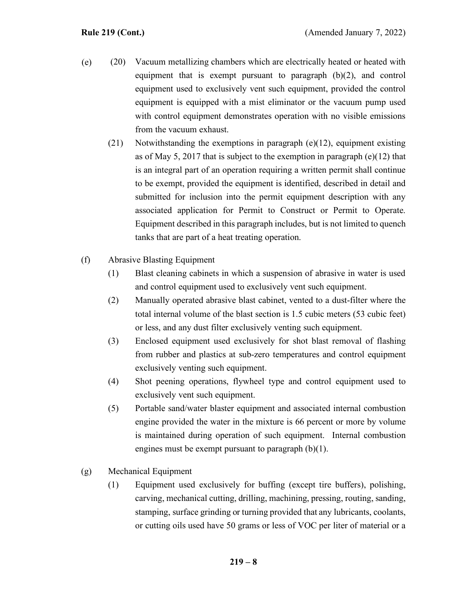- (20) Vacuum metallizing chambers which are electrically heated or heated with equipment that is exempt pursuant to paragraph (b)(2), and control equipment used to exclusively vent such equipment, provided the control equipment is equipped with a mist eliminator or the vacuum pump used with control equipment demonstrates operation with no visible emissions from the vacuum exhaust. (e)
	- (21) Notwithstanding the exemptions in paragraph (e)(12), equipment existing as of May 5, 2017 that is subject to the exemption in paragraph (e)(12) that is an integral part of an operation requiring a written permit shall continue to be exempt, provided the equipment is identified, described in detail and submitted for inclusion into the permit equipment description with any associated application for Permit to Construct or Permit to Operate. Equipment described in this paragraph includes, but is not limited to quench tanks that are part of a heat treating operation.
- (f) Abrasive Blasting Equipment
	- (1) Blast cleaning cabinets in which a suspension of abrasive in water is used and control equipment used to exclusively vent such equipment.
	- (2) Manually operated abrasive blast cabinet, vented to a dust-filter where the total internal volume of the blast section is 1.5 cubic meters (53 cubic feet) or less, and any dust filter exclusively venting such equipment.
	- (3) Enclosed equipment used exclusively for shot blast removal of flashing from rubber and plastics at sub-zero temperatures and control equipment exclusively venting such equipment.
	- (4) Shot peening operations, flywheel type and control equipment used to exclusively vent such equipment.
	- (5) Portable sand/water blaster equipment and associated internal combustion engine provided the water in the mixture is 66 percent or more by volume is maintained during operation of such equipment. Internal combustion engines must be exempt pursuant to paragraph  $(b)(1)$ .
- (g) Mechanical Equipment
	- (1) Equipment used exclusively for buffing (except tire buffers), polishing, carving, mechanical cutting, drilling, machining, pressing, routing, sanding, stamping, surface grinding or turning provided that any lubricants, coolants, or cutting oils used have 50 grams or less of VOC per liter of material or a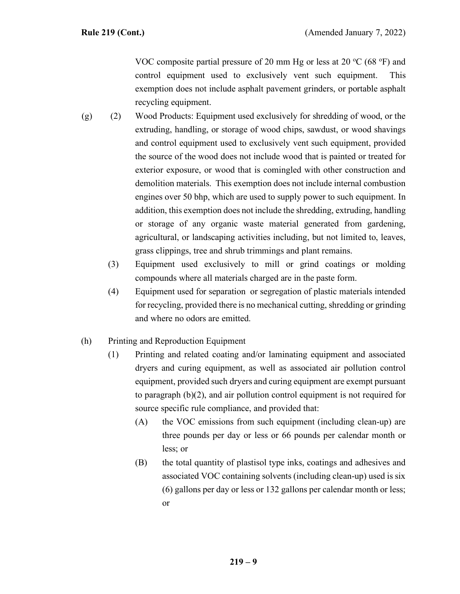VOC composite partial pressure of 20 mm Hg or less at 20  $^{\circ}$ C (68  $^{\circ}$ F) and control equipment used to exclusively vent such equipment. This exemption does not include asphalt pavement grinders, or portable asphalt recycling equipment.

- (2) Wood Products: Equipment used exclusively for shredding of wood, or the extruding, handling, or storage of wood chips, sawdust, or wood shavings and control equipment used to exclusively vent such equipment, provided the source of the wood does not include wood that is painted or treated for exterior exposure, or wood that is comingled with other construction and demolition materials. This exemption does not include internal combustion engines over 50 bhp, which are used to supply power to such equipment. In addition, this exemption does not include the shredding, extruding, handling or storage of any organic waste material generated from gardening, agricultural, or landscaping activities including, but not limited to, leaves, grass clippings, tree and shrub trimmings and plant remains. (g)
	- (3) Equipment used exclusively to mill or grind coatings or molding compounds where all materials charged are in the paste form.
	- (4) Equipment used for separation or segregation of plastic materials intended for recycling, provided there is no mechanical cutting, shredding or grinding and where no odors are emitted.
- (h) Printing and Reproduction Equipment
	- (1) Printing and related coating and/or laminating equipment and associated dryers and curing equipment, as well as associated air pollution control equipment, provided such dryers and curing equipment are exempt pursuant to paragraph (b)(2), and air pollution control equipment is not required for source specific rule compliance, and provided that:
		- (A) the VOC emissions from such equipment (including clean-up) are three pounds per day or less or 66 pounds per calendar month or less; or
		- (B) the total quantity of plastisol type inks, coatings and adhesives and associated VOC containing solvents (including clean-up) used is six (6) gallons per day or less or 132 gallons per calendar month or less; or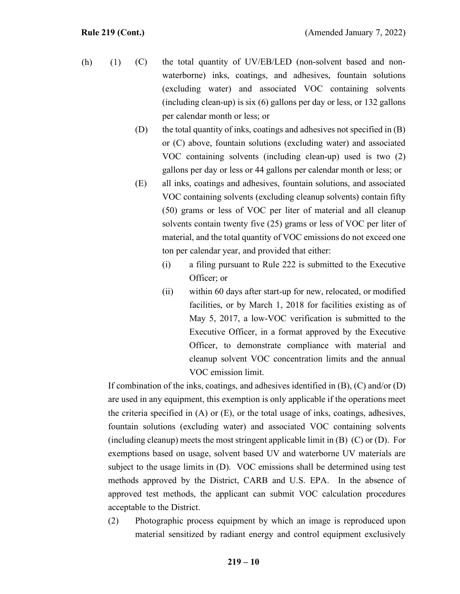- (C) the total quantity of UV/EB/LED (non-solvent based and nonwaterborne) inks, coatings, and adhesives, fountain solutions (excluding water) and associated VOC containing solvents (including clean-up) is six (6) gallons per day or less, or 132 gallons per calendar month or less; or  $(h)$   $(1)$ 
	- (D) the total quantity of inks, coatings and adhesives not specified in (B) or (C) above, fountain solutions (excluding water) and associated VOC containing solvents (including clean-up) used is two (2) gallons per day or less or 44 gallons per calendar month or less; or
	- (E) all inks, coatings and adhesives, fountain solutions, and associated VOC containing solvents (excluding cleanup solvents) contain fifty (50) grams or less of VOC per liter of material and all cleanup solvents contain twenty five (25) grams or less of VOC per liter of material, and the total quantity of VOC emissions do not exceed one ton per calendar year, and provided that either:
		- (i) a filing pursuant to Rule 222 is submitted to the Executive Officer; or
		- (ii) within 60 days after start-up for new, relocated, or modified facilities, or by March 1, 2018 for facilities existing as of May 5, 2017, a low-VOC verification is submitted to the Executive Officer, in a format approved by the Executive Officer, to demonstrate compliance with material and cleanup solvent VOC concentration limits and the annual VOC emission limit.

If combination of the inks, coatings, and adhesives identified in  $(B)$ ,  $(C)$  and/or  $(D)$ are used in any equipment, this exemption is only applicable if the operations meet the criteria specified in (A) or (E), or the total usage of inks, coatings, adhesives, fountain solutions (excluding water) and associated VOC containing solvents (including cleanup) meets the most stringent applicable limit in (B) (C) or (D). For exemptions based on usage, solvent based UV and waterborne UV materials are subject to the usage limits in (D). VOC emissions shall be determined using test methods approved by the District, CARB and U.S. EPA. In the absence of approved test methods, the applicant can submit VOC calculation procedures acceptable to the District.

(2) Photographic process equipment by which an image is reproduced upon material sensitized by radiant energy and control equipment exclusively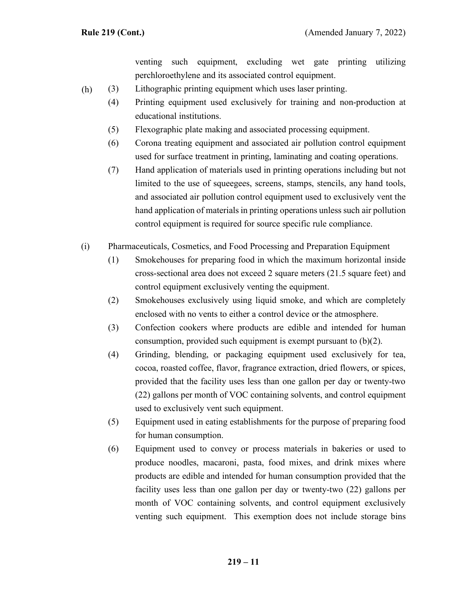venting such equipment, excluding wet gate printing utilizing perchloroethylene and its associated control equipment.

- (3) Lithographic printing equipment which uses laser printing. (h)
	- (4) Printing equipment used exclusively for training and non-production at educational institutions.
	- (5) Flexographic plate making and associated processing equipment.
	- (6) Corona treating equipment and associated air pollution control equipment used for surface treatment in printing, laminating and coating operations.
	- (7) Hand application of materials used in printing operations including but not limited to the use of squeegees, screens, stamps, stencils, any hand tools, and associated air pollution control equipment used to exclusively vent the hand application of materials in printing operations unless such air pollution control equipment is required for source specific rule compliance.
- (i) Pharmaceuticals, Cosmetics, and Food Processing and Preparation Equipment
	- (1) Smokehouses for preparing food in which the maximum horizontal inside cross-sectional area does not exceed 2 square meters (21.5 square feet) and control equipment exclusively venting the equipment.
	- (2) Smokehouses exclusively using liquid smoke, and which are completely enclosed with no vents to either a control device or the atmosphere.
	- (3) Confection cookers where products are edible and intended for human consumption, provided such equipment is exempt pursuant to (b)(2).
	- (4) Grinding, blending, or packaging equipment used exclusively for tea, cocoa, roasted coffee, flavor, fragrance extraction, dried flowers, or spices, provided that the facility uses less than one gallon per day or twenty-two (22) gallons per month of VOC containing solvents, and control equipment used to exclusively vent such equipment.
	- (5) Equipment used in eating establishments for the purpose of preparing food for human consumption.
	- (6) Equipment used to convey or process materials in bakeries or used to produce noodles, macaroni, pasta, food mixes, and drink mixes where products are edible and intended for human consumption provided that the facility uses less than one gallon per day or twenty-two (22) gallons per month of VOC containing solvents, and control equipment exclusively venting such equipment. This exemption does not include storage bins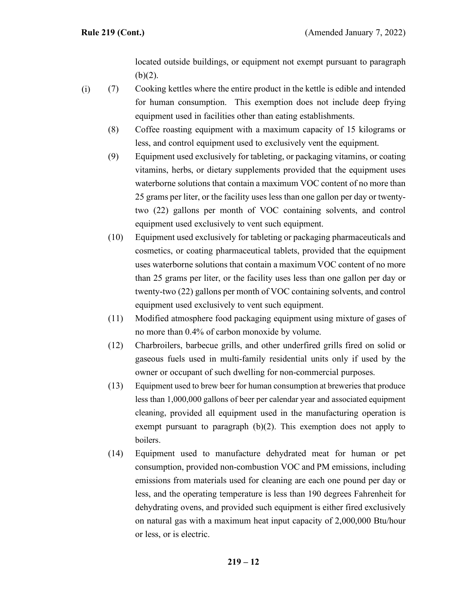located outside buildings, or equipment not exempt pursuant to paragraph  $(b)(2)$ .

(7) Cooking kettles where the entire product in the kettle is edible and intended for human consumption. This exemption does not include deep frying equipment used in facilities other than eating establishments. (i)

- (8) Coffee roasting equipment with a maximum capacity of 15 kilograms or less, and control equipment used to exclusively vent the equipment.
- (9) Equipment used exclusively for tableting, or packaging vitamins, or coating vitamins, herbs, or dietary supplements provided that the equipment uses waterborne solutions that contain a maximum VOC content of no more than 25 grams per liter, or the facility uses less than one gallon per day or twentytwo (22) gallons per month of VOC containing solvents, and control equipment used exclusively to vent such equipment.
- (10) Equipment used exclusively for tableting or packaging pharmaceuticals and cosmetics, or coating pharmaceutical tablets, provided that the equipment uses waterborne solutions that contain a maximum VOC content of no more than 25 grams per liter, or the facility uses less than one gallon per day or twenty-two (22) gallons per month of VOC containing solvents, and control equipment used exclusively to vent such equipment.
- (11) Modified atmosphere food packaging equipment using mixture of gases of no more than 0.4% of carbon monoxide by volume.
- (12) Charbroilers, barbecue grills, and other underfired grills fired on solid or gaseous fuels used in multi-family residential units only if used by the owner or occupant of such dwelling for non-commercial purposes.
- (13) Equipment used to brew beer for human consumption at breweries that produce less than 1,000,000 gallons of beer per calendar year and associated equipment cleaning, provided all equipment used in the manufacturing operation is exempt pursuant to paragraph (b)(2). This exemption does not apply to boilers.
- (14) Equipment used to manufacture dehydrated meat for human or pet consumption, provided non-combustion VOC and PM emissions, including emissions from materials used for cleaning are each one pound per day or less, and the operating temperature is less than 190 degrees Fahrenheit for dehydrating ovens, and provided such equipment is either fired exclusively on natural gas with a maximum heat input capacity of 2,000,000 Btu/hour or less, or is electric.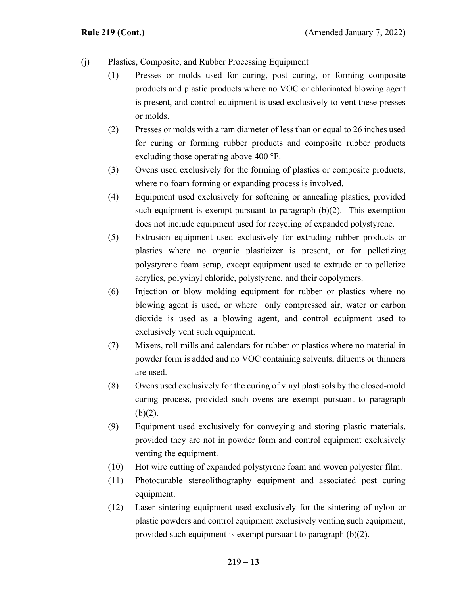- (j) Plastics, Composite, and Rubber Processing Equipment
	- (1) Presses or molds used for curing, post curing, or forming composite products and plastic products where no VOC or chlorinated blowing agent is present, and control equipment is used exclusively to vent these presses or molds.
	- (2) Presses or molds with a ram diameter of less than or equal to 26 inches used for curing or forming rubber products and composite rubber products excluding those operating above 400 °F.
	- (3) Ovens used exclusively for the forming of plastics or composite products, where no foam forming or expanding process is involved.
	- (4) Equipment used exclusively for softening or annealing plastics, provided such equipment is exempt pursuant to paragraph (b)(2). This exemption does not include equipment used for recycling of expanded polystyrene.
	- (5) Extrusion equipment used exclusively for extruding rubber products or plastics where no organic plasticizer is present, or for pelletizing polystyrene foam scrap, except equipment used to extrude or to pelletize acrylics, polyvinyl chloride, polystyrene, and their copolymers.
	- (6) Injection or blow molding equipment for rubber or plastics where no blowing agent is used, or where only compressed air, water or carbon dioxide is used as a blowing agent, and control equipment used to exclusively vent such equipment.
	- (7) Mixers, roll mills and calendars for rubber or plastics where no material in powder form is added and no VOC containing solvents, diluents or thinners are used.
	- (8) Ovens used exclusively for the curing of vinyl plastisols by the closed-mold curing process, provided such ovens are exempt pursuant to paragraph  $(b)(2)$ .
	- (9) Equipment used exclusively for conveying and storing plastic materials, provided they are not in powder form and control equipment exclusively venting the equipment.
	- (10) Hot wire cutting of expanded polystyrene foam and woven polyester film.
	- (11) Photocurable stereolithography equipment and associated post curing equipment.
	- (12) Laser sintering equipment used exclusively for the sintering of nylon or plastic powders and control equipment exclusively venting such equipment, provided such equipment is exempt pursuant to paragraph (b)(2).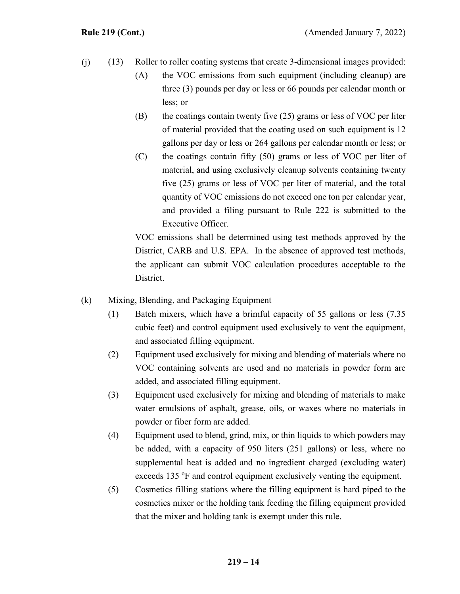- (13) Roller to roller coating systems that create 3-dimensional images provided: (j)
	- (A) the VOC emissions from such equipment (including cleanup) are three (3) pounds per day or less or 66 pounds per calendar month or less; or
	- $(B)$  the coatings contain twenty five (25) grams or less of VOC per liter of material provided that the coating used on such equipment is 12 gallons per day or less or 264 gallons per calendar month or less; or
	- (C) the coatings contain fifty (50) grams or less of VOC per liter of material, and using exclusively cleanup solvents containing twenty five (25) grams or less of VOC per liter of material, and the total quantity of VOC emissions do not exceed one ton per calendar year, and provided a filing pursuant to Rule 222 is submitted to the Executive Officer.

VOC emissions shall be determined using test methods approved by the District, CARB and U.S. EPA. In the absence of approved test methods, the applicant can submit VOC calculation procedures acceptable to the District.

- (k) Mixing, Blending, and Packaging Equipment
	- (1) Batch mixers, which have a brimful capacity of 55 gallons or less (7.35 cubic feet) and control equipment used exclusively to vent the equipment, and associated filling equipment.
	- (2) Equipment used exclusively for mixing and blending of materials where no VOC containing solvents are used and no materials in powder form are added, and associated filling equipment.
	- (3) Equipment used exclusively for mixing and blending of materials to make water emulsions of asphalt, grease, oils, or waxes where no materials in powder or fiber form are added.
	- (4) Equipment used to blend, grind, mix, or thin liquids to which powders may be added, with a capacity of 950 liters (251 gallons) or less, where no supplemental heat is added and no ingredient charged (excluding water) exceeds 135 °F and control equipment exclusively venting the equipment.
	- (5) Cosmetics filling stations where the filling equipment is hard piped to the cosmetics mixer or the holding tank feeding the filling equipment provided that the mixer and holding tank is exempt under this rule.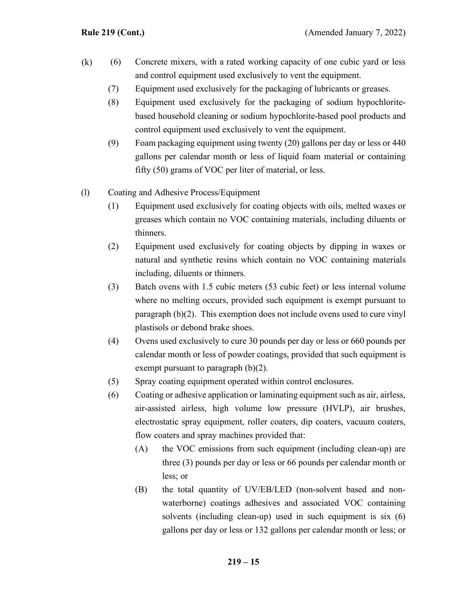- (6) Concrete mixers, with a rated working capacity of one cubic yard or less and control equipment used exclusively to vent the equipment. (k)
	- (7) Equipment used exclusively for the packaging of lubricants or greases.
	- (8) Equipment used exclusively for the packaging of sodium hypochloritebased household cleaning or sodium hypochlorite-based pool products and control equipment used exclusively to vent the equipment.
	- (9) Foam packaging equipment using twenty (20) gallons per day or less or 440 gallons per calendar month or less of liquid foam material or containing fifty (50) grams of VOC per liter of material, or less.
- (l) Coating and Adhesive Process/Equipment
	- (1) Equipment used exclusively for coating objects with oils, melted waxes or greases which contain no VOC containing materials, including diluents or thinners.
	- (2) Equipment used exclusively for coating objects by dipping in waxes or natural and synthetic resins which contain no VOC containing materials including, diluents or thinners.
	- (3) Batch ovens with 1.5 cubic meters (53 cubic feet) or less internal volume where no melting occurs, provided such equipment is exempt pursuant to paragraph (b)(2). This exemption does not include ovens used to cure vinyl plastisols or debond brake shoes.
	- (4) Ovens used exclusively to cure 30 pounds per day or less or 660 pounds per calendar month or less of powder coatings, provided that such equipment is exempt pursuant to paragraph (b)(2).
	- (5) Spray coating equipment operated within control enclosures.
	- (6) Coating or adhesive application or laminating equipment such as air, airless, air-assisted airless, high volume low pressure (HVLP), air brushes, electrostatic spray equipment, roller coaters, dip coaters, vacuum coaters, flow coaters and spray machines provided that:
		- (A) the VOC emissions from such equipment (including clean-up) are three (3) pounds per day or less or 66 pounds per calendar month or less; or
		- (B) the total quantity of UV/EB/LED (non-solvent based and nonwaterborne) coatings adhesives and associated VOC containing solvents (including clean-up) used in such equipment is six (6) gallons per day or less or 132 gallons per calendar month or less; or

## **219 – 15**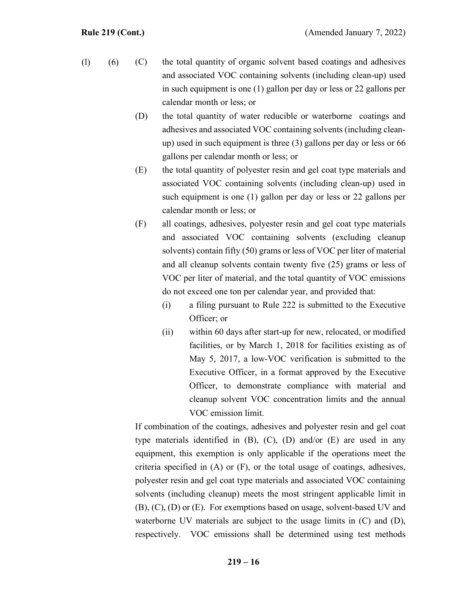- (C) the total quantity of organic solvent based coatings and adhesives and associated VOC containing solvents (including clean-up) used in such equipment is one (1) gallon per day or less or 22 gallons per calendar month or less; or  $(l)$  (6)
	- (D) the total quantity of water reducible or waterborne coatings and adhesives and associated VOC containing solvents (including cleanup) used in such equipment is three (3) gallons per day or less or 66 gallons per calendar month or less; or
	- (E) the total quantity of polyester resin and gel coat type materials and associated VOC containing solvents (including clean-up) used in such equipment is one (1) gallon per day or less or 22 gallons per calendar month or less; or
	- (F) all coatings, adhesives, polyester resin and gel coat type materials and associated VOC containing solvents (excluding cleanup solvents) contain fifty (50) grams or less of VOC per liter of material and all cleanup solvents contain twenty five (25) grams or less of VOC per liter of material, and the total quantity of VOC emissions do not exceed one ton per calendar year, and provided that:
		- (i) a filing pursuant to Rule 222 is submitted to the Executive Officer; or
		- (ii) within 60 days after start-up for new, relocated, or modified facilities, or by March 1, 2018 for facilities existing as of May 5, 2017, a low-VOC verification is submitted to the Executive Officer, in a format approved by the Executive Officer, to demonstrate compliance with material and cleanup solvent VOC concentration limits and the annual VOC emission limit.

If combination of the coatings, adhesives and polyester resin and gel coat type materials identified in (B), (C), (D) and/or (E) are used in any equipment, this exemption is only applicable if the operations meet the criteria specified in (A) or (F), or the total usage of coatings, adhesives, polyester resin and gel coat type materials and associated VOC containing solvents (including cleanup) meets the most stringent applicable limit in (B), (C), (D) or (E). For exemptions based on usage, solvent-based UV and waterborne UV materials are subject to the usage limits in (C) and (D), respectively. VOC emissions shall be determined using test methods

**219 – 16**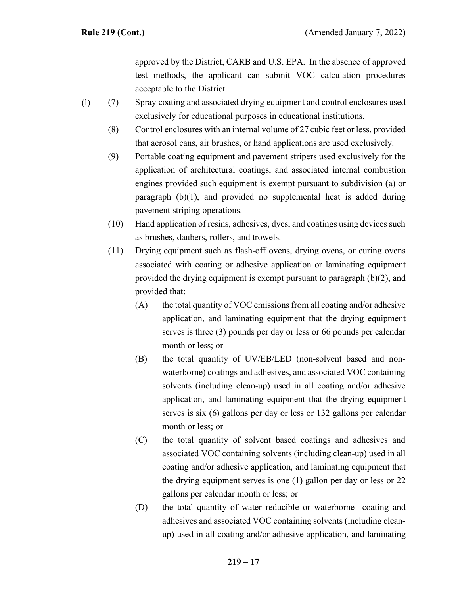approved by the District, CARB and U.S. EPA. In the absence of approved test methods, the applicant can submit VOC calculation procedures acceptable to the District.

- (7) Spray coating and associated drying equipment and control enclosures used exclusively for educational purposes in educational institutions. (l)
	- (8) Control enclosures with an internal volume of 27 cubic feet or less, provided that aerosol cans, air brushes, or hand applications are used exclusively.
	- (9) Portable coating equipment and pavement stripers used exclusively for the application of architectural coatings, and associated internal combustion engines provided such equipment is exempt pursuant to subdivision (a) or paragraph (b)(1), and provided no supplemental heat is added during pavement striping operations.
	- (10) Hand application of resins, adhesives, dyes, and coatings using devices such as brushes, daubers, rollers, and trowels.
	- (11) Drying equipment such as flash-off ovens, drying ovens, or curing ovens associated with coating or adhesive application or laminating equipment provided the drying equipment is exempt pursuant to paragraph (b)(2), and provided that:
		- $(A)$  the total quantity of VOC emissions from all coating and/or adhesive application, and laminating equipment that the drying equipment serves is three (3) pounds per day or less or 66 pounds per calendar month or less; or
		- (B) the total quantity of UV/EB/LED (non-solvent based and nonwaterborne) coatings and adhesives, and associated VOC containing solvents (including clean-up) used in all coating and/or adhesive application, and laminating equipment that the drying equipment serves is six (6) gallons per day or less or 132 gallons per calendar month or less; or
		- (C) the total quantity of solvent based coatings and adhesives and associated VOC containing solvents (including clean-up) used in all coating and/or adhesive application, and laminating equipment that the drying equipment serves is one (1) gallon per day or less or 22 gallons per calendar month or less; or
		- (D) the total quantity of water reducible or waterborne coating and adhesives and associated VOC containing solvents (including cleanup) used in all coating and/or adhesive application, and laminating

## **219 – 17**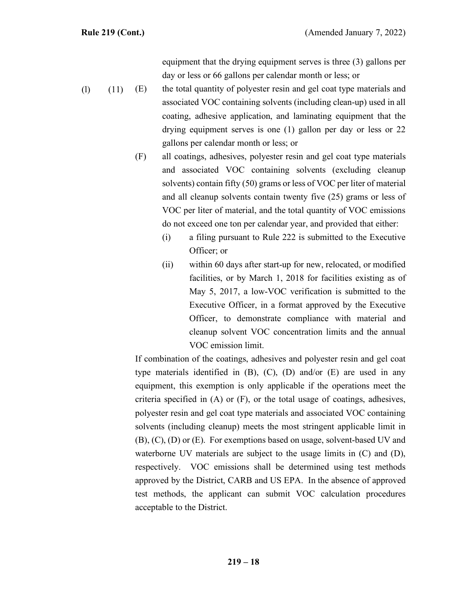equipment that the drying equipment serves is three (3) gallons per day or less or 66 gallons per calendar month or less; or

- (E) the total quantity of polyester resin and gel coat type materials and associated VOC containing solvents (including clean-up) used in all coating, adhesive application, and laminating equipment that the drying equipment serves is one (1) gallon per day or less or 22 gallons per calendar month or less; or  $(l)$   $(11)$ 
	- (F) all coatings, adhesives, polyester resin and gel coat type materials and associated VOC containing solvents (excluding cleanup solvents) contain fifty (50) grams or less of VOC per liter of material and all cleanup solvents contain twenty five (25) grams or less of VOC per liter of material, and the total quantity of VOC emissions do not exceed one ton per calendar year, and provided that either:
		- (i) a filing pursuant to Rule 222 is submitted to the Executive Officer; or
		- (ii) within 60 days after start-up for new, relocated, or modified facilities, or by March 1, 2018 for facilities existing as of May 5, 2017, a low-VOC verification is submitted to the Executive Officer, in a format approved by the Executive Officer, to demonstrate compliance with material and cleanup solvent VOC concentration limits and the annual VOC emission limit.

If combination of the coatings, adhesives and polyester resin and gel coat type materials identified in (B), (C), (D) and/or (E) are used in any equipment, this exemption is only applicable if the operations meet the criteria specified in (A) or (F), or the total usage of coatings, adhesives, polyester resin and gel coat type materials and associated VOC containing solvents (including cleanup) meets the most stringent applicable limit in (B), (C), (D) or (E). For exemptions based on usage, solvent-based UV and waterborne UV materials are subject to the usage limits in (C) and (D), respectively. VOC emissions shall be determined using test methods approved by the District, CARB and US EPA. In the absence of approved test methods, the applicant can submit VOC calculation procedures acceptable to the District.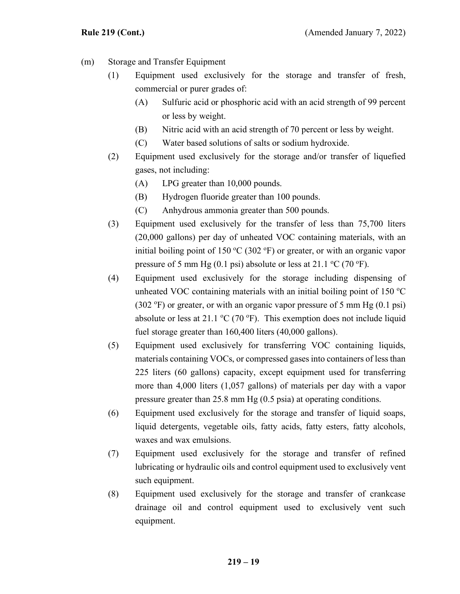- (m) Storage and Transfer Equipment
	- (1) Equipment used exclusively for the storage and transfer of fresh, commercial or purer grades of:
		- (A) Sulfuric acid or phosphoric acid with an acid strength of 99 percent or less by weight.
		- (B) Nitric acid with an acid strength of 70 percent or less by weight.
		- (C) Water based solutions of salts or sodium hydroxide.
	- (2) Equipment used exclusively for the storage and/or transfer of liquefied gases, not including:
		- (A) LPG greater than 10,000 pounds.
		- (B) Hydrogen fluoride greater than 100 pounds.
		- (C) Anhydrous ammonia greater than 500 pounds.
	- (3) Equipment used exclusively for the transfer of less than 75,700 liters (20,000 gallons) per day of unheated VOC containing materials, with an initial boiling point of 150 °C (302 °F) or greater, or with an organic vapor pressure of 5 mm Hg (0.1 psi) absolute or less at 21.1  $\rm{^{\circ}C}$  (70  $\rm{^{\circ}F}$ ).
	- (4) Equipment used exclusively for the storage including dispensing of unheated VOC containing materials with an initial boiling point of  $150^{\circ}$ C  $(302 \text{ °F})$  or greater, or with an organic vapor pressure of 5 mm Hg  $(0.1 \text{ psi})$ absolute or less at 21.1  $\rm{^{\circ}C}$  (70  $\rm{^{\circ}F}$ ). This exemption does not include liquid fuel storage greater than 160,400 liters (40,000 gallons).
	- (5) Equipment used exclusively for transferring VOC containing liquids, materials containing VOCs, or compressed gases into containers of less than 225 liters (60 gallons) capacity, except equipment used for transferring more than 4,000 liters (1,057 gallons) of materials per day with a vapor pressure greater than 25.8 mm Hg (0.5 psia) at operating conditions.
	- (6) Equipment used exclusively for the storage and transfer of liquid soaps, liquid detergents, vegetable oils, fatty acids, fatty esters, fatty alcohols, waxes and wax emulsions.
	- (7) Equipment used exclusively for the storage and transfer of refined lubricating or hydraulic oils and control equipment used to exclusively vent such equipment.
	- (8) Equipment used exclusively for the storage and transfer of crankcase drainage oil and control equipment used to exclusively vent such equipment.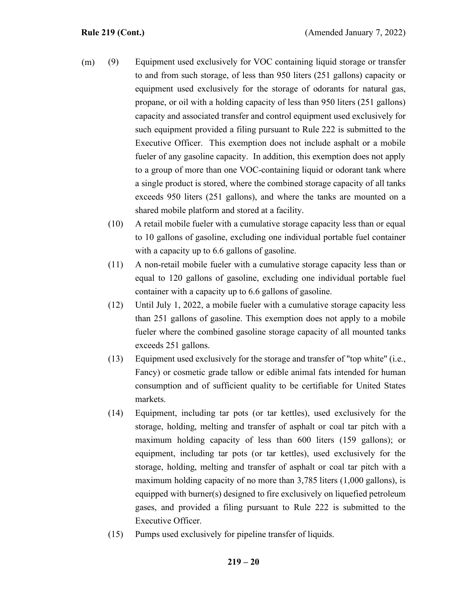- (9) Equipment used exclusively for VOC containing liquid storage or transfer to and from such storage, of less than 950 liters (251 gallons) capacity or equipment used exclusively for the storage of odorants for natural gas, propane, or oil with a holding capacity of less than 950 liters (251 gallons) capacity and associated transfer and control equipment used exclusively for such equipment provided a filing pursuant to Rule 222 is submitted to the Executive Officer. This exemption does not include asphalt or a mobile fueler of any gasoline capacity. In addition, this exemption does not apply to a group of more than one VOC-containing liquid or odorant tank where a single product is stored, where the combined storage capacity of all tanks exceeds 950 liters (251 gallons), and where the tanks are mounted on a shared mobile platform and stored at a facility. (m)
	- (10) A retail mobile fueler with a cumulative storage capacity less than or equal to 10 gallons of gasoline, excluding one individual portable fuel container with a capacity up to 6.6 gallons of gasoline.
	- (11) A non-retail mobile fueler with a cumulative storage capacity less than or equal to 120 gallons of gasoline, excluding one individual portable fuel container with a capacity up to 6.6 gallons of gasoline.
	- (12) Until July 1, 2022, a mobile fueler with a cumulative storage capacity less than 251 gallons of gasoline. This exemption does not apply to a mobile fueler where the combined gasoline storage capacity of all mounted tanks exceeds 251 gallons.
	- (13) Equipment used exclusively for the storage and transfer of "top white" (i.e., Fancy) or cosmetic grade tallow or edible animal fats intended for human consumption and of sufficient quality to be certifiable for United States markets.
	- (14) Equipment, including tar pots (or tar kettles), used exclusively for the storage, holding, melting and transfer of asphalt or coal tar pitch with a maximum holding capacity of less than 600 liters (159 gallons); or equipment, including tar pots (or tar kettles), used exclusively for the storage, holding, melting and transfer of asphalt or coal tar pitch with a maximum holding capacity of no more than 3,785 liters (1,000 gallons), is equipped with burner(s) designed to fire exclusively on liquefied petroleum gases, and provided a filing pursuant to Rule 222 is submitted to the Executive Officer.
	- (15) Pumps used exclusively for pipeline transfer of liquids.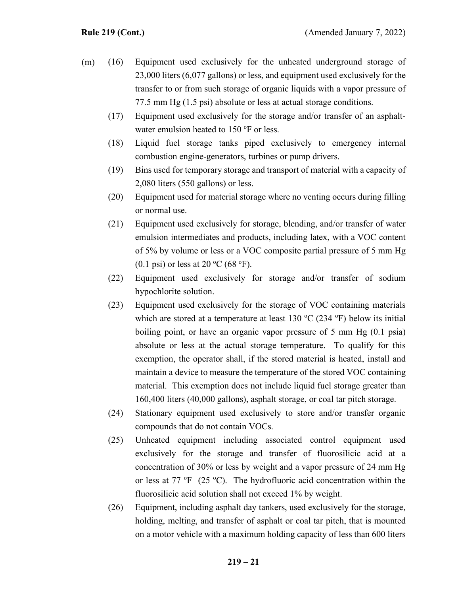- (16) Equipment used exclusively for the unheated underground storage of 23,000 liters (6,077 gallons) or less, and equipment used exclusively for the transfer to or from such storage of organic liquids with a vapor pressure of 77.5 mm Hg (1.5 psi) absolute or less at actual storage conditions. (m)
	- (17) Equipment used exclusively for the storage and/or transfer of an asphaltwater emulsion heated to  $150^{\circ}$ F or less.
	- (18) Liquid fuel storage tanks piped exclusively to emergency internal combustion engine-generators, turbines or pump drivers.
	- (19) Bins used for temporary storage and transport of material with a capacity of 2,080 liters (550 gallons) or less.
	- (20) Equipment used for material storage where no venting occurs during filling or normal use.
	- (21) Equipment used exclusively for storage, blending, and/or transfer of water emulsion intermediates and products, including latex, with a VOC content of 5% by volume or less or a VOC composite partial pressure of 5 mm Hg  $(0.1 \text{ psi})$  or less at 20 °C (68 °F).
	- (22) Equipment used exclusively for storage and/or transfer of sodium hypochlorite solution.
	- (23) Equipment used exclusively for the storage of VOC containing materials which are stored at a temperature at least  $130\text{ °C}$  (234 °F) below its initial boiling point, or have an organic vapor pressure of 5 mm Hg (0.1 psia) absolute or less at the actual storage temperature. To qualify for this exemption, the operator shall, if the stored material is heated, install and maintain a device to measure the temperature of the stored VOC containing material. This exemption does not include liquid fuel storage greater than 160,400 liters (40,000 gallons), asphalt storage, or coal tar pitch storage.
	- (24) Stationary equipment used exclusively to store and/or transfer organic compounds that do not contain VOCs.
	- (25) Unheated equipment including associated control equipment used exclusively for the storage and transfer of fluorosilicic acid at a concentration of 30% or less by weight and a vapor pressure of 24 mm Hg or less at  $77 \text{ °F}$  (25 °C). The hydrofluoric acid concentration within the fluorosilicic acid solution shall not exceed 1% by weight.
	- (26) Equipment, including asphalt day tankers, used exclusively for the storage, holding, melting, and transfer of asphalt or coal tar pitch, that is mounted on a motor vehicle with a maximum holding capacity of less than 600 liters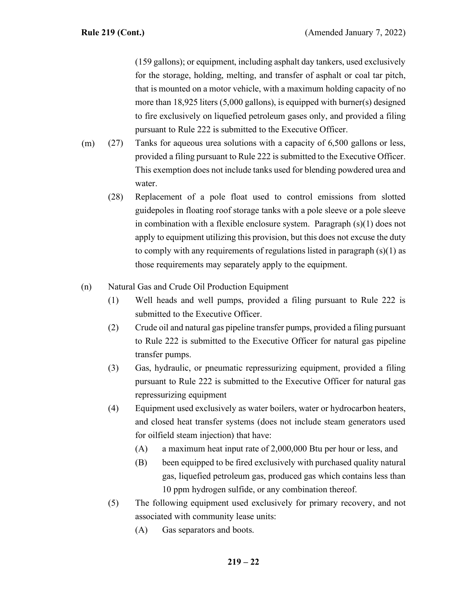(159 gallons); or equipment, including asphalt day tankers, used exclusively for the storage, holding, melting, and transfer of asphalt or coal tar pitch, that is mounted on a motor vehicle, with a maximum holding capacity of no more than 18,925 liters (5,000 gallons), is equipped with burner(s) designed to fire exclusively on liquefied petroleum gases only, and provided a filing pursuant to Rule 222 is submitted to the Executive Officer.

- (27) Tanks for aqueous urea solutions with a capacity of 6,500 gallons or less, provided a filing pursuant to Rule 222 is submitted to the Executive Officer. This exemption does not include tanks used for blending powdered urea and water. (m)
	- (28) Replacement of a pole float used to control emissions from slotted guidepoles in floating roof storage tanks with a pole sleeve or a pole sleeve in combination with a flexible enclosure system. Paragraph (s)(1) does not apply to equipment utilizing this provision, but this does not excuse the duty to comply with any requirements of regulations listed in paragraph (s)(1) as those requirements may separately apply to the equipment.
- (n) Natural Gas and Crude Oil Production Equipment
	- (1) Well heads and well pumps, provided a filing pursuant to Rule 222 is submitted to the Executive Officer.
	- (2) Crude oil and natural gas pipeline transfer pumps, provided a filing pursuant to Rule 222 is submitted to the Executive Officer for natural gas pipeline transfer pumps.
	- (3) Gas, hydraulic, or pneumatic repressurizing equipment, provided a filing pursuant to Rule 222 is submitted to the Executive Officer for natural gas repressurizing equipment
	- (4) Equipment used exclusively as water boilers, water or hydrocarbon heaters, and closed heat transfer systems (does not include steam generators used for oilfield steam injection) that have:
		- (A) a maximum heat input rate of 2,000,000 Btu per hour or less, and
		- (B) been equipped to be fired exclusively with purchased quality natural gas, liquefied petroleum gas, produced gas which contains less than 10 ppm hydrogen sulfide, or any combination thereof.
	- (5) The following equipment used exclusively for primary recovery, and not associated with community lease units:
		- (A) Gas separators and boots.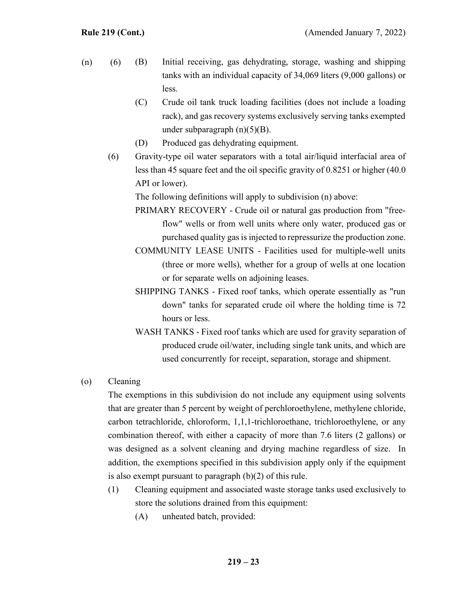- (B) Initial receiving, gas dehydrating, storage, washing and shipping tanks with an individual capacity of 34,069 liters (9,000 gallons) or less.  $(n)$  (6)
	- (C) Crude oil tank truck loading facilities (does not include a loading rack), and gas recovery systems exclusively serving tanks exempted under subparagraph  $(n)(5)(B)$ .
	- (D) Produced gas dehydrating equipment.
	- (6) Gravity-type oil water separators with a total air/liquid interfacial area of less than 45 square feet and the oil specific gravity of 0.8251 or higher (40.0 API or lower).

The following definitions will apply to subdivision (n) above:

- PRIMARY RECOVERY Crude oil or natural gas production from "freeflow" wells or from well units where only water, produced gas or purchased quality gas is injected to repressurize the production zone.
- COMMUNITY LEASE UNITS Facilities used for multiple-well units (three or more wells), whether for a group of wells at one location or for separate wells on adjoining leases.
- SHIPPING TANKS Fixed roof tanks, which operate essentially as "run down" tanks for separated crude oil where the holding time is 72 hours or less.
- WASH TANKS Fixed roof tanks which are used for gravity separation of produced crude oil/water, including single tank units, and which are used concurrently for receipt, separation, storage and shipment.

## (o) Cleaning

The exemptions in this subdivision do not include any equipment using solvents that are greater than 5 percent by weight of perchloroethylene, methylene chloride, carbon tetrachloride, chloroform, 1,1,1-trichloroethane, trichloroethylene, or any combination thereof, with either a capacity of more than 7.6 liters (2 gallons) or was designed as a solvent cleaning and drying machine regardless of size. In addition, the exemptions specified in this subdivision apply only if the equipment is also exempt pursuant to paragraph (b)(2) of this rule.

- (1) Cleaning equipment and associated waste storage tanks used exclusively to store the solutions drained from this equipment:
	- (A) unheated batch, provided: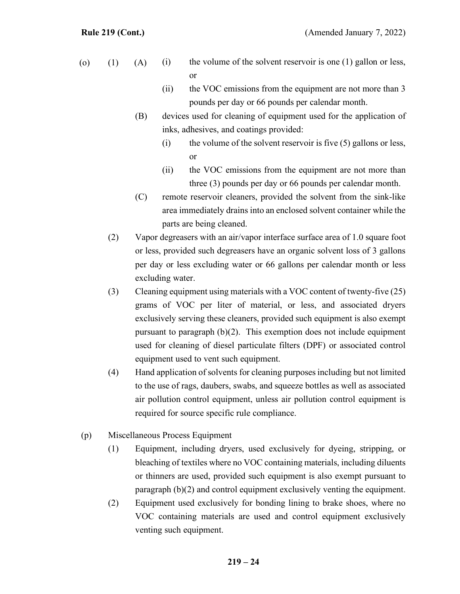- (i) the volume of the solvent reservoir is one (1) gallon or less, or (o)  $(1)$   $(A)$ 
	- (ii) the VOC emissions from the equipment are not more than 3 pounds per day or 66 pounds per calendar month.
	- (B) devices used for cleaning of equipment used for the application of inks, adhesives, and coatings provided:
		- (i) the volume of the solvent reservoir is five  $(5)$  gallons or less, or
		- (ii) the VOC emissions from the equipment are not more than three (3) pounds per day or 66 pounds per calendar month.
	- (C) remote reservoir cleaners, provided the solvent from the sink-like area immediately drains into an enclosed solvent container while the parts are being cleaned.
	- (2) Vapor degreasers with an air/vapor interface surface area of 1.0 square foot or less, provided such degreasers have an organic solvent loss of 3 gallons per day or less excluding water or 66 gallons per calendar month or less excluding water.
	- (3) Cleaning equipment using materials with a VOC content of twenty-five (25) grams of VOC per liter of material, or less, and associated dryers exclusively serving these cleaners, provided such equipment is also exempt pursuant to paragraph (b)(2). This exemption does not include equipment used for cleaning of diesel particulate filters (DPF) or associated control equipment used to vent such equipment.
	- (4) Hand application of solvents for cleaning purposes including but not limited to the use of rags, daubers, swabs, and squeeze bottles as well as associated air pollution control equipment, unless air pollution control equipment is required for source specific rule compliance.
- (p) Miscellaneous Process Equipment
	- (1) Equipment, including dryers, used exclusively for dyeing, stripping, or bleaching of textiles where no VOC containing materials, including diluents or thinners are used, provided such equipment is also exempt pursuant to paragraph (b)(2) and control equipment exclusively venting the equipment.
	- (2) Equipment used exclusively for bonding lining to brake shoes, where no VOC containing materials are used and control equipment exclusively venting such equipment.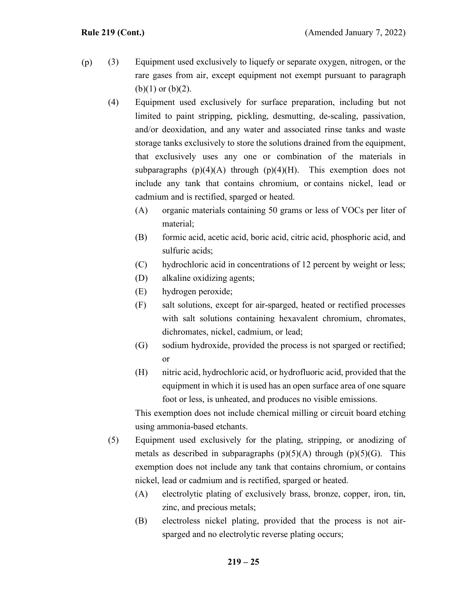- (3) Equipment used exclusively to liquefy or separate oxygen, nitrogen, or the rare gases from air, except equipment not exempt pursuant to paragraph  $(b)(1)$  or  $(b)(2)$ . (p)
	- (4) Equipment used exclusively for surface preparation, including but not limited to paint stripping, pickling, desmutting, de-scaling, passivation, and/or deoxidation, and any water and associated rinse tanks and waste storage tanks exclusively to store the solutions drained from the equipment, that exclusively uses any one or combination of the materials in subparagraphs  $(p)(4)(A)$  through  $(p)(4)(H)$ . This exemption does not include any tank that contains chromium, or contains nickel, lead or cadmium and is rectified, sparged or heated.
		- (A) organic materials containing 50 grams or less of VOCs per liter of material;
		- (B) formic acid, acetic acid, boric acid, citric acid, phosphoric acid, and sulfuric acids;
		- (C) hydrochloric acid in concentrations of 12 percent by weight or less;
		- (D) alkaline oxidizing agents;
		- (E) hydrogen peroxide;
		- (F) salt solutions, except for air-sparged, heated or rectified processes with salt solutions containing hexavalent chromium, chromates, dichromates, nickel, cadmium, or lead;
		- (G) sodium hydroxide, provided the process is not sparged or rectified; or
		- (H) nitric acid, hydrochloric acid, or hydrofluoric acid, provided that the equipment in which it is used has an open surface area of one square foot or less, is unheated, and produces no visible emissions.

This exemption does not include chemical milling or circuit board etching using ammonia-based etchants.

- (5) Equipment used exclusively for the plating, stripping, or anodizing of metals as described in subparagraphs  $(p)(5)(A)$  through  $(p)(5)(G)$ . This exemption does not include any tank that contains chromium, or contains nickel, lead or cadmium and is rectified, sparged or heated.
	- (A) electrolytic plating of exclusively brass, bronze, copper, iron, tin, zinc, and precious metals;
	- (B) electroless nickel plating, provided that the process is not airsparged and no electrolytic reverse plating occurs;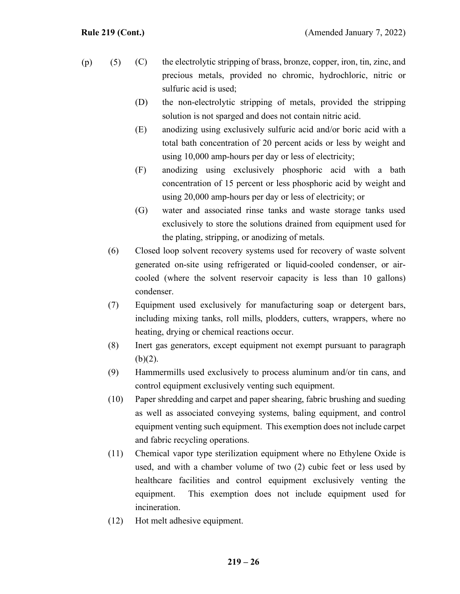- (C) the electrolytic stripping of brass, bronze, copper, iron, tin, zinc, and precious metals, provided no chromic, hydrochloric, nitric or sulfuric acid is used;  $(p)$  (5)
	- (D) the non-electrolytic stripping of metals, provided the stripping solution is not sparged and does not contain nitric acid.
	- (E) anodizing using exclusively sulfuric acid and/or boric acid with a total bath concentration of 20 percent acids or less by weight and using 10,000 amp-hours per day or less of electricity;
	- (F) anodizing using exclusively phosphoric acid with a bath concentration of 15 percent or less phosphoric acid by weight and using 20,000 amp-hours per day or less of electricity; or
	- (G) water and associated rinse tanks and waste storage tanks used exclusively to store the solutions drained from equipment used for the plating, stripping, or anodizing of metals.
	- (6) Closed loop solvent recovery systems used for recovery of waste solvent generated on-site using refrigerated or liquid-cooled condenser, or aircooled (where the solvent reservoir capacity is less than 10 gallons) condenser.
	- (7) Equipment used exclusively for manufacturing soap or detergent bars, including mixing tanks, roll mills, plodders, cutters, wrappers, where no heating, drying or chemical reactions occur.
	- (8) Inert gas generators, except equipment not exempt pursuant to paragraph  $(b)(2)$ .
	- (9) Hammermills used exclusively to process aluminum and/or tin cans, and control equipment exclusively venting such equipment.
	- (10) Paper shredding and carpet and paper shearing, fabric brushing and sueding as well as associated conveying systems, baling equipment, and control equipment venting such equipment. This exemption does not include carpet and fabric recycling operations.
	- (11) Chemical vapor type sterilization equipment where no Ethylene Oxide is used, and with a chamber volume of two (2) cubic feet or less used by healthcare facilities and control equipment exclusively venting the equipment. This exemption does not include equipment used for incineration.
	- (12) Hot melt adhesive equipment.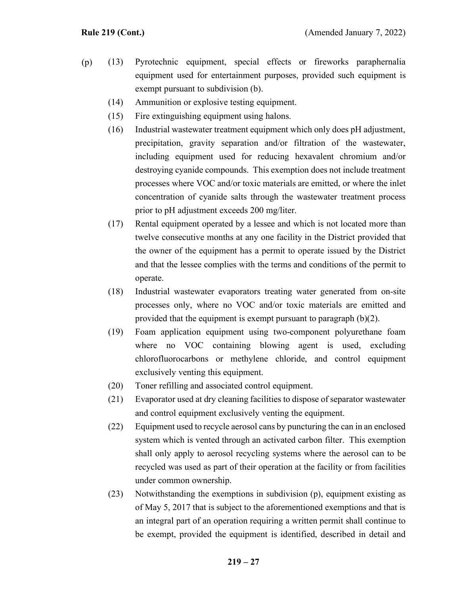- (13) Pyrotechnic equipment, special effects or fireworks paraphernalia equipment used for entertainment purposes, provided such equipment is exempt pursuant to subdivision (b). (p)
	- (14) Ammunition or explosive testing equipment.
	- (15) Fire extinguishing equipment using halons.
	- (16) Industrial wastewater treatment equipment which only does pH adjustment, precipitation, gravity separation and/or filtration of the wastewater, including equipment used for reducing hexavalent chromium and/or destroying cyanide compounds. This exemption does not include treatment processes where VOC and/or toxic materials are emitted, or where the inlet concentration of cyanide salts through the wastewater treatment process prior to pH adjustment exceeds 200 mg/liter.
	- (17) Rental equipment operated by a lessee and which is not located more than twelve consecutive months at any one facility in the District provided that the owner of the equipment has a permit to operate issued by the District and that the lessee complies with the terms and conditions of the permit to operate.
	- (18) Industrial wastewater evaporators treating water generated from on-site processes only, where no VOC and/or toxic materials are emitted and provided that the equipment is exempt pursuant to paragraph (b)(2).
	- (19) Foam application equipment using two-component polyurethane foam where no VOC containing blowing agent is used, excluding chlorofluorocarbons or methylene chloride, and control equipment exclusively venting this equipment.
	- (20) Toner refilling and associated control equipment.
	- (21) Evaporator used at dry cleaning facilities to dispose of separator wastewater and control equipment exclusively venting the equipment.
	- (22) Equipment used to recycle aerosol cans by puncturing the can in an enclosed system which is vented through an activated carbon filter. This exemption shall only apply to aerosol recycling systems where the aerosol can to be recycled was used as part of their operation at the facility or from facilities under common ownership.
	- (23) Notwithstanding the exemptions in subdivision (p), equipment existing as of May 5, 2017 that is subject to the aforementioned exemptions and that is an integral part of an operation requiring a written permit shall continue to be exempt, provided the equipment is identified, described in detail and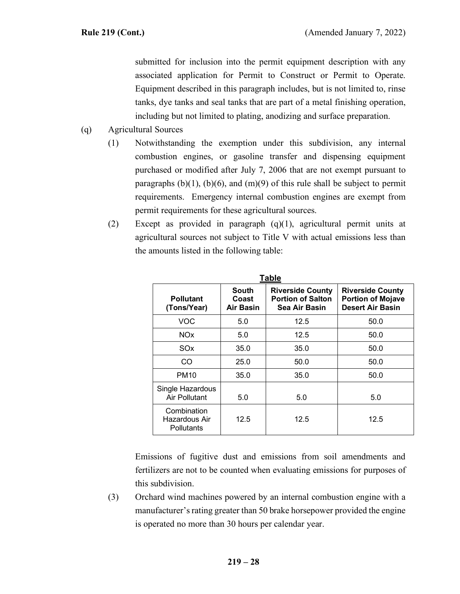submitted for inclusion into the permit equipment description with any associated application for Permit to Construct or Permit to Operate. Equipment described in this paragraph includes, but is not limited to, rinse tanks, dye tanks and seal tanks that are part of a metal finishing operation, including but not limited to plating, anodizing and surface preparation.

- (q) Agricultural Sources
	- (1) Notwithstanding the exemption under this subdivision, any internal combustion engines, or gasoline transfer and dispensing equipment purchased or modified after July 7, 2006 that are not exempt pursuant to paragraphs  $(b)(1)$ ,  $(b)(6)$ , and  $(m)(9)$  of this rule shall be subject to permit requirements. Emergency internal combustion engines are exempt from permit requirements for these agricultural sources.
	- (2) Except as provided in paragraph (q)(1), agricultural permit units at agricultural sources not subject to Title V with actual emissions less than the amounts listed in the following table:

| Table                                      |                                    |                                                                      |                                                                                |  |
|--------------------------------------------|------------------------------------|----------------------------------------------------------------------|--------------------------------------------------------------------------------|--|
| <b>Pollutant</b><br>(Tons/Year)            | South<br>Coast<br><b>Air Basin</b> | <b>Riverside County</b><br><b>Portion of Salton</b><br>Sea Air Basin | <b>Riverside County</b><br><b>Portion of Mojave</b><br><b>Desert Air Basin</b> |  |
| <b>VOC</b>                                 | 5.0                                | 12.5                                                                 | 50.0                                                                           |  |
| <b>NOx</b>                                 | 5.0                                | 12.5                                                                 | 50.0                                                                           |  |
| SOx                                        | 35.0                               | 35.0                                                                 | 50.0                                                                           |  |
| CO                                         | 25.0                               | 50.0                                                                 | 50.0                                                                           |  |
| <b>PM10</b>                                | 35.0                               | 35.0                                                                 | 50.0                                                                           |  |
| Single Hazardous<br>Air Pollutant          | 5.0                                | 5.0                                                                  | 5.0                                                                            |  |
| Combination<br>Hazardous Air<br>Pollutants | 12.5                               | 12.5                                                                 | 12.5                                                                           |  |

Emissions of fugitive dust and emissions from soil amendments and fertilizers are not to be counted when evaluating emissions for purposes of this subdivision.

(3) Orchard wind machines powered by an internal combustion engine with a manufacturer's rating greater than 50 brake horsepower provided the engine is operated no more than 30 hours per calendar year.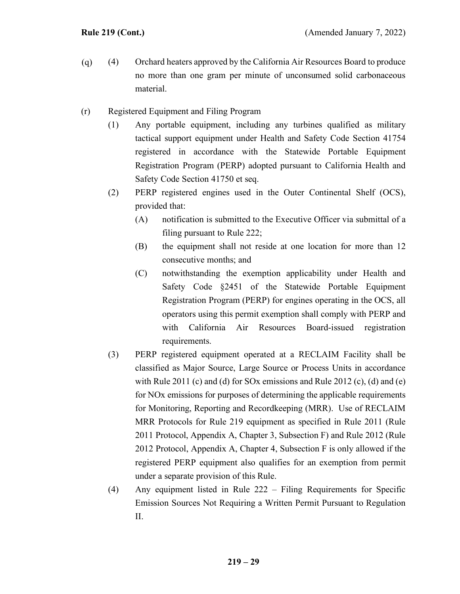- (4) Orchard heaters approved by the California Air Resources Board to produce no more than one gram per minute of unconsumed solid carbonaceous material. (q)
- (r) Registered Equipment and Filing Program
	- (1) Any portable equipment, including any turbines qualified as military tactical support equipment under Health and Safety Code Section 41754 registered in accordance with the Statewide Portable Equipment Registration Program (PERP) adopted pursuant to California Health and Safety Code Section 41750 et seq.
	- (2) PERP registered engines used in the Outer Continental Shelf (OCS), provided that:
		- (A) notification is submitted to the Executive Officer via submittal of a filing pursuant to Rule 222;
		- (B) the equipment shall not reside at one location for more than 12 consecutive months; and
		- (C) notwithstanding the exemption applicability under Health and Safety Code §2451 of the Statewide Portable Equipment Registration Program (PERP) for engines operating in the OCS, all operators using this permit exemption shall comply with PERP and with California Air Resources Board-issued registration requirements.
	- (3) PERP registered equipment operated at a RECLAIM Facility shall be classified as Major Source, Large Source or Process Units in accordance with Rule 2011 (c) and (d) for SOx emissions and Rule 2012 (c), (d) and (e) for NOx emissions for purposes of determining the applicable requirements for Monitoring, Reporting and Recordkeeping (MRR). Use of RECLAIM MRR Protocols for Rule 219 equipment as specified in Rule 2011 (Rule 2011 Protocol, Appendix A, Chapter 3, Subsection F) and Rule 2012 (Rule 2012 Protocol, Appendix A, Chapter 4, Subsection F is only allowed if the registered PERP equipment also qualifies for an exemption from permit under a separate provision of this Rule.
	- (4) Any equipment listed in Rule 222 Filing Requirements for Specific Emission Sources Not Requiring a Written Permit Pursuant to Regulation II.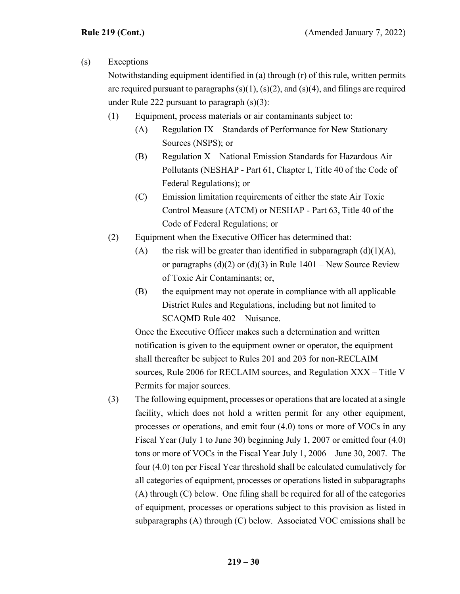# (s) Exceptions

Notwithstanding equipment identified in (a) through (r) of this rule, written permits are required pursuant to paragraphs  $(s)(1)$ ,  $(s)(2)$ , and  $(s)(4)$ , and filings are required under Rule 222 pursuant to paragraph (s)(3):

- (1) Equipment, process materials or air contaminants subject to:
	- $(A)$  Regulation IX Standards of Performance for New Stationary Sources (NSPS); or
	- (B) Regulation  $X$  National Emission Standards for Hazardous Air Pollutants (NESHAP - Part 61, Chapter I, Title 40 of the Code of Federal Regulations); or
	- (C) Emission limitation requirements of either the state Air Toxic Control Measure (ATCM) or NESHAP - Part 63, Title 40 of the Code of Federal Regulations; or
- (2) Equipment when the Executive Officer has determined that:
	- (A) the risk will be greater than identified in subparagraph  $(d)(1)(A)$ , or paragraphs  $(d)(2)$  or  $(d)(3)$  in Rule 1401 – New Source Review of Toxic Air Contaminants; or,
	- (B) the equipment may not operate in compliance with all applicable District Rules and Regulations, including but not limited to SCAQMD Rule 402 – Nuisance.

Once the Executive Officer makes such a determination and written notification is given to the equipment owner or operator, the equipment shall thereafter be subject to Rules 201 and 203 for non-RECLAIM sources, Rule 2006 for RECLAIM sources, and Regulation XXX – Title V Permits for major sources.

(3) The following equipment, processes or operations that are located at a single facility, which does not hold a written permit for any other equipment, processes or operations, and emit four (4.0) tons or more of VOCs in any Fiscal Year (July 1 to June 30) beginning July 1, 2007 or emitted four (4.0) tons or more of VOCs in the Fiscal Year July 1, 2006 – June 30, 2007. The four (4.0) ton per Fiscal Year threshold shall be calculated cumulatively for all categories of equipment, processes or operations listed in subparagraphs (A) through (C) below. One filing shall be required for all of the categories of equipment, processes or operations subject to this provision as listed in subparagraphs (A) through (C) below. Associated VOC emissions shall be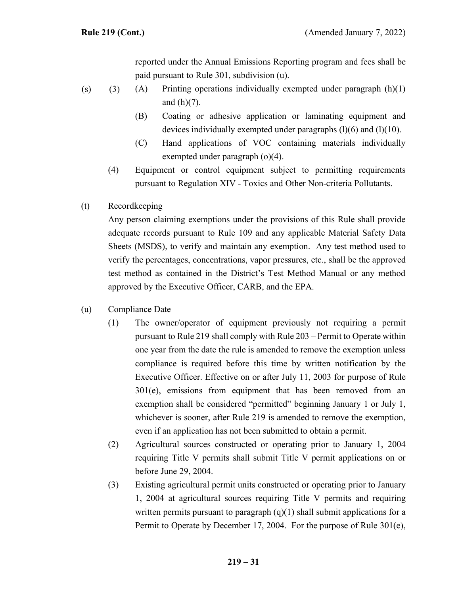reported under the Annual Emissions Reporting program and fees shall be paid pursuant to Rule 301, subdivision (u).

- (A) Printing operations individually exempted under paragraph (h)(1) and  $(h)(7)$ .  $(s)$  (3)
	- (B) Coating or adhesive application or laminating equipment and devices individually exempted under paragraphs  $(l)(6)$  and  $(l)(10)$ .
	- (C) Hand applications of VOC containing materials individually exempted under paragraph (o)(4).
	- (4) Equipment or control equipment subject to permitting requirements pursuant to Regulation XIV - Toxics and Other Non-criteria Pollutants.
- (t) Recordkeeping

Any person claiming exemptions under the provisions of this Rule shall provide adequate records pursuant to Rule 109 and any applicable Material Safety Data Sheets (MSDS), to verify and maintain any exemption. Any test method used to verify the percentages, concentrations, vapor pressures, etc., shall be the approved test method as contained in the District's Test Method Manual or any method approved by the Executive Officer, CARB, and the EPA.

- (u) Compliance Date
	- (1) The owner/operator of equipment previously not requiring a permit pursuant to Rule 219 shall comply with Rule 203 – Permit to Operate within one year from the date the rule is amended to remove the exemption unless compliance is required before this time by written notification by the Executive Officer. Effective on or after July 11, 2003 for purpose of Rule 301(e), emissions from equipment that has been removed from an exemption shall be considered "permitted" beginning January 1 or July 1, whichever is sooner, after Rule 219 is amended to remove the exemption, even if an application has not been submitted to obtain a permit.
	- (2) Agricultural sources constructed or operating prior to January 1, 2004 requiring Title V permits shall submit Title V permit applications on or before June 29, 2004.
	- (3) Existing agricultural permit units constructed or operating prior to January 1, 2004 at agricultural sources requiring Title V permits and requiring written permits pursuant to paragraph  $(q)(1)$  shall submit applications for a Permit to Operate by December 17, 2004. For the purpose of Rule 301(e),